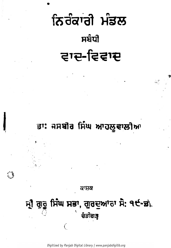# ਨਿਰੰਕਾਂਗੇ ਮੰਡਲ ਸਬੰਧੀ ਵਾਦ-ਵਿਵਾਦ

## ਤਾ: ਜਸਬੀਰ ਸਿੰਘ ਆਹਲੂਵਾਲੀਆ

ਕਾਸ਼ਕ

ਸ਼੍ਰੀ ਗੁਰੂ ਸਿੰਘ ਸਭਾ, ਗੁਰਦੁਆਰਾ ਸੇ: ੧੯-ਡਾਂ ਚੰਡੀਗੜ੍ਹ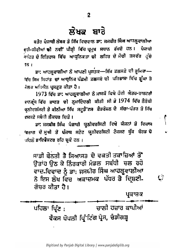#### ਲੌਖਕ ਬਾਰੇ

ਬਤੌਰ ਪੰਜਾਥੀ ਲੇਖਕ ਤੇ ਸਿੱਖ ਵਿਦਵਾਨ ਡਾ: ਜਸਬੀਰ ਸਿੰਘ ਆਹਲੂਵਾਲੀਆ ਥ੍ਧੀ-ਜੀਵੀਆਂ **ਢੀ** ਨਵੀ' ਪੀੜ੍ਹੀ ਵਿੱਚ ਪ੍ਰਮੁਖ ਸਥਾਨ ਰੱਖਦੇ ਹਨ। ਪੰਜਾਬੀ .<br>ਭਾਹਿਤ ਦੇ ਇਤਿ<mark>ਹਾਸ ਵਿੱਚ ਆਧੁਨਿਕਤਾ ਦੀ ਲਹਿਰ ਦ</mark>ੇ ਮੌਢੀ ਤਸਵੱਰ ਹੁੰਦੇ 15 1

ਡਾ: ਆਹਲੂਵਾਲੀਆ ਨੇ ਆਪਣੀ ਪੁਸਤਕ—ਸਿੱਖ ਫ਼ਲਸਫ਼ੇ ਦੀ ਭੂਮਿਕਾ— ਵਿੱਚ ਸਿਖ ਸਿਧਾਂਤ **ਦਾ ਆਧੁਨਿਕ ਪੱਛਮੀ ਫ਼ਲ**ਸਫੇ ਦੀ ਪਰਿਭਾਸ਼ਾ ਵਿੱਚ ਡੂੰਘਾ ਤੇ ਮੈਲਕ ਅਧਿਐਨ ਪ੍ਰਸਤੁਤ ਕੀਤਾ ਹੈ ।

1973 ਵਿੱਚ ਡਾ: ਆਹਲੂਵਾਲੀਆ ਨੇ ਮਾਸਕੋ ਵਿਖੇ ਹੋਈ ਐਤਰ-ਰਾਸ਼ਟਰੀ **ਭਾਨਫ੍ਰੰਸ ਵਿੱਚ ਭਾਰਤ ਦੀ ਨੁਮਾਇੰਦਗੀ ਕੀਤੀ ਸੀ** ਡੇ 1974 ਵਿੱਚ ਨੈਰੋਬੀ ਯੂਨੀਵਰਸਿਟੀ ਤੇ ਕੀਨੀਆ ਸਿੱਖ ਸਟੂਡੈ<sup>•</sup>ਟਸ ਫ਼ੈਡਰੇਸ਼ਨ ਦੇ ਸੱਦਾ-ਪੱਤਰ ਤੇ ਸਿੱਖ ਭਸ਼ਸ਼ਟੇ ਸਬੰਧੀ ਲੈਕਚਰ ਦਿਤੇ ।

ਡਾ: ਜਸਬੀਰ ਸਿੰਘ ਪੰਜਾਬੀ ਯੂਠੀਵਰਸਿਟੀ ਵਿਖੇ ਯੋਜਨਾਂ ਤੇ ਵਿਕਾਸ *ਵਿਭਾਗ ਦੇ* ਮੁਖੀ ਤੇ ਪੰਜਾਬ ਸਟੇਟ ਯੂਨੀਵਰਸਿਟੀ ਟੈਕਸਟ ਬੁੱਕ ਬੌਰਡ ਚੇ ਪਹਿਲੋਂ ਡਾਇਵੈਕਟਰ ਰਹਿ ਚੁਕੇ ਹਨ ।

ਸਾਡੀ ਬੇਨਤੀ ਤੇ ਸਿਆਸਤ ਦੇ ਵਕਤੀ ਤਕਾਜ਼ਿਆਂ ਤੋਂ ਉਤਾਂਹ ਉਠ ਕੇ ਨਿੰਰਕਾਰੀ ਮੰਡਲ ਸਬੰਧੀ ਚਲ ਰਹੇ ਵਾਦ-ਵਿਵਾਦ ਨੂੰ ਡਾ: ਜਸਬੀਰ ਸਿੰਘ ਆਹਲੂਵਾਲੀਆ ਨੇ ਇਸ ਲੇਖ ਵਿਚ ਅਕਾਦਮਕ ਪੱਧਰ ਤੇ ਦਿਸ਼ਟੀ-ਗੋਚਰ ਕੀਤਾ ਹੈ।

ਪ੍ਰਕਾਸ਼ਕ

ਚਾਲੀ ਹਜ਼ਾਰ ਕਾਪੀਆਂ ਪਹਿਲਾ ਪ੍ਰਿੰਟ : ਵੈਕਸ ਪੋਪਲੀ ਪ੍ਰਿੰਟਿੰਗ ਪ੍ਰੈਸ, ਚੰਡੀਗੜ੍ਹ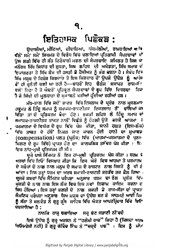### ਇਤਿਹਾਸਕ ਪਿਛੋਕੜ:

ਉਦਾਸੀਆਂ, ਮੀਣਿਆਂ, ਦੀਵਾਨਿਆਂ, ਧੀਰਮੱਲੀਆਂ, ਰਾਮਰਾਇਆਂ ਅਾਂ ਵੱਲੋਂ' ਸਮੇਂ' ਸਮੇਂ' ਸਿਖਮਤ ਦੇ ਵਿਰੋਧ ਵਿੱਚ ਚਲਾਇਆਂ ਪ੍ਰਤਿਗਾਮੀ ਸੈਪਰਦਾਵਾਂ ਦਾ ਉਸ ਲੜੀ ਵਿੱਚ ਹੀ ਸੰਤ ਨਿਰੰਕਾਰੀ ਮਡਲ ਦੀ ਸੈਪਰਦਾਇ ਸ਼ਮਿਲਤ ਹੈ ਜਿਸ ਦਾ ਮਨੌਰਥ ਸਿੱਖ ਸਿਧਾਂਤ ਦੀ ਸ਼ੁਧਤਾ, ਸਿਖ ਲਹਿਰ ਦੀ ਅਖੰਡਤਾ, ਸਿੱਖ ਸਮਾਜ *ਢੰ* ਇਕਾਗਰਤਾ ਤੇ ਸਿੱਖ ਕੌਮ ਦੀ ਹਸਤੀ ਤੇ ਹੈਸੀਅਤ ਨੂੰ ਭੰਗ ਕਰਨਾ ਹੈ । ਸੰਖੇਪ ਵਿੱਚ ਸਿੱਖ ਮਜੂਬ ਦੇ ਵਿਸ਼ੇਸ਼ ਕਿਰਦਾਰ ਤੇ ਇਸ ਕਿਰਦਾਰ ਚੌਂ ਉਪਜੇ ਉਦੇਸ਼ ਨੂੰ ਆਂਡੇ ਬੋਂ ਹੀ ਚੁਨੌਤੀ ਚਲੀ ਆ ਰਹੀ ਹੈ—ਬਾਹਰੋਂ ਇਹ ਚੈਲੰਜ**ਂ ਸਥਾਪਤ** ਰਾਜ–ਸੱਸ ਵਲੋਂ ਰਿਹਾ ਹੈ ਤੇ ਅੰਦਰੋਂ ਪ੍ਰਤਿਕੁਲ ਸੈਪਰਦਾਵਾਂ ਦੇ ਰੂਪ ਵਿੱਚ ਵਿਚਰਦਾ ਰਿਹ ਹੈ ਜੋ ਸਿੱਖੀ ਦੀ ਮੁਲਧਾਰਾ ਦੇ ਮੁਕਾਬਲੇ ਖੜੀਆਂ ਹੁੰਦੀਆਂ ਰਹੀਆਂ ਹਨ।

ਮੱਧ-ਕਾਲ ਵਿੱਚ ਜਦੋਂ ਭਾਰਤ ਵਿੱਚ ਇਸਲਾਮ ਦੇ ਪ੍ਰਵੇਸ਼ ਨਾਲ ਮੁਸਲਮਾਨ ਹਕੂਮਤ ਨੇ ਹਿੰਦੂ ਸਮਾਜ ਨੂੰ ਸਮਾਜਕ-ਰਾਜਨੀਤਕ ਇਕਤਦਾਰ ਤੋਂ ਵਾਲਿਆਂ ਕਾ ਦਿੱਤਾ ਤਾਂ ਦੋ ਪਰਿਕਰਮ ਥੈਦਾ ਹੋਏ। ਭਗਤੀ ਲਹਿਰ ਨੇ ਹਿੰਦੂ ਸਮਾਜ ਦਾ ਸਮਾਜਕ-ਰਾਜ਼ਨੀਤਕ ਤਾਕਤ ਨਾਲੋਂ ਵਿਛੋੜੇ ਨੂੰ ਹੇਠਲੀ ਉਤੇ ਵਰਕੇ ਆਤਮਾ<sub>ਂ</sub> ਵ ਪਰਮਾਤਮਾ ਦੇ ਵਿਯੋਗ ਦੇ ਰੂਪ ਵਿੱਚ ਪੇਸ਼ ਕੀਤਾ, ਯਾਨੀ ਹਲਤ (ਇਸ-ਲੌਕੇ) ਵਿੱਚ ਤਾਕਤ ਦੇ ਹੱਥੋਂ ਨਿਕਲ ਜਾਣ ਕਾਰਨ ਹੋਈ ਹਾਨੀ ਦਾ ਮੁਆਵਜ (compensation) ਪਲਤ (ਪ੍ਰਲੌਕ) ਵਿੱਚ (ਆਤਮਾ-ਪਰਮਾਤਮਾ ਦੇ ਪੁਨ<sup>5.</sup> ਮਿਲਣ ਦੇ ਰੂਪ ਵਿੱਚ) ਪ੍ਰਾਪਤ ਹੋਣ ਦਾ ਕਾਲ**ਪਨਿਕ ਤਸੱਵਰ ਪੇਸ਼ ਕੀਤਾ** । ਇ ਇਕ ਨਾਂਹ-ਮੁਖੀ ਪ੍ਰਤਿਕਰਮ ਹੀ ਸੀ ।

ŧ

ਦੂਜੇ ਪਾਸੇ ਸਿੱਖਮਤ ਨੇ ਇਕ ਹਾਂ-ਮੁਖੀ ਪ੍ਰਤਿਕਰਮ ਪੇਸ਼ ਕੀਤਾ । ਧਰਮ ਵੇ ਅਰਥਾਂ ਵਿੱਚ ਇਓ<sup>:</sup> ਵਿਸਥਾਰ ਕੀਤਾ ਕਿ ਇਸ ਘੇਰੇ ਵਿਚ ਆਤਮਾ ਤੇ ਪਰਮਾਤਮ ਦੇ ਸਬੰਧਾਂ ਦੇ ਨਾਲ ਨਾਲ ਮਨੁਖ ਦੇ ਸਮਾਜ ਦੇ ਰਾਸ਼ਟਰ ਨਾਲ ਰਿਸ਼ਤੇ ਨੂੰ ਵੀ ਏ ਆਂਦਾ । ਇਸ ਤਰ੍ਹਾਂ ਧਰਮ ਦਾ ਅਰਥ ਸਮਾਜੀ-ਰਾਸ਼ਟਰੀ ਕਰਤੱਵ ਤਕ ਫ਼ੈਲ ਗਿਆ<sub>ਂ</sub> ਦੂਸਰੇ ਸ਼ਬਦਾਂ ਵਿੱਚ ਸੈਮਿਟਕ ਪਰੈਪਰਾ ਅਨੁਸਾਰ ਧਰਮ ਦਾ ਰੋਲ ਪ੍ਰਲੌਕ ਵਿੱਜ ਮਕਤੀ ਦੇ ਨਾਲ ਨਾਲ ਇਸ ਲੌਕ ਵਿਚ ਇਕ ਨਵਾਂ ਨਿਜ਼ਾਮ, ਕਾਇਮ, ਕਰਨਾ ਵੱ ਸਿਧ ਹੋਇਆਂ । ਇਸ ਤਰ੍ਹਾਂ ਭਗਤੀ ਦੇ ਨਾਲ ਸ਼ਕਤੀ ਡੇ ਰਾਜ-ਸੱਤਾ ਦਾ ਪ੍ਰਾਪਤਾਂ ਸੈਮਟਿਕ ਪਰੰਪਰਾ ਅਨੁਸਾਰ ਸਿਖ ਮਜ਼ਬ ਦਾ ਉਦੇਸ਼ ਬਣ ਕੇ ਸਾਹਮਣੇ ਆਈ ਜਿਸ ਨੂੰ ਸੱਤਾ ਤੇ ਬਲਵੰਡ ਨੇ ਗੁਰੂ ਗ੍ਰੰਥ ਸਾਹਿਬ ਵਿੱਚ ਐਕਤ ਆਪਣੀ/ਵਾਰ ਵਿੱਚ ਇਓ **ਦਰਸਾਇਆ ਹੈ :** 

ਨਾਨਕਿ ਰਾਜ ਚਲਾਇਆ - ਸਚੂ ਕੋਟ ਸਤਾਣੀ ਨੀਂਵਦੋ

ਇਸੇ ਉਦੇਸ਼ ਨੂੰ ਗੁਰੂ ਅਰਜਨ ਨੇ "ਹਲੇਮੀ ਰਾਜ" ਕਿਹਾ ਹੈ (ਜਿਸਦਾ ਅਰਾ 'ਥਓਕਰੇਸੀ ਨਹੀ) ਤੋਂ ਗੁਰੂ ਗੋਬਿੰਦ ਸਿੰਘ ਨੇ "ਚਕਵੈ ਪੲ"। ਇਸ ਨੂੰ *ਮੀਵ*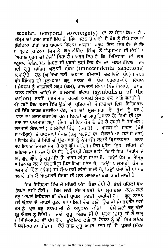secular. temporal sovereignty) ਦਾ ਨਾ ਦਿੱਤਾ ਗਿਆ ਹੈ, €ਮਿ੍ਤ ਦੀ ਰਸਮ ਰਾਹੀਂ ਸਿੱਖ ਤੋਂ ਸਿੰਘ ਬਣਨ ਤੇ ਪੀਰੀ ਦੇ ਪੈਥ ਨੂੰ ਸੌ ਪੇ ਜਾਣ ਦਾ (ਕਿਰਿਆ ਰਾਂਹੀ ਇਕ ਧਾਰਮਕ ਫ਼ਿਰਕਾ ਖਾਲਸਾ ਸਰੂਪ ਵਿੱਚ ਇਕ ਕੌਮ ਦੇ ਤੌਰ ≀ੌਪ੍ਰਗਟ ,ਹੋਇਆ ਜਿਸ ਨੂੰ ਗੁਰੂ ਗੋਬਿੰਦ ਸਿੰਘ ਨੌਂ "ਪ੍ਰਮਾਤਮਾ ਦੀ ਮੌਜ'' ⊱ 'ਅਕਾਲ ਪੂਰਖ ਦੀ ਫ਼ੌਜ<sup>°</sup>' ਕਿਹਾ ਹੈ । ਅਰਥ ਇਹ ਹੈ ਕਿ ਇਤਿਹਾਸ ਦੀ ਗਤਾ <u> «ਨੁ</u>ਸਾਰ ਇਤਿਹਾਸਕ ਮਿਸ਼ਨ ਦੀ ਪੁਰਤੀ ਲਈ ਇਕ ਕੌਮ ਦਾ ਜਨਮ ਹੋਇਆ ਜਿਸ <u>ਇੀ ਗੁਰੂ</u> ਸਾਹਿਬ ਅਲਾਹੀ ਹੁੱਕਮ (transcendental sanctions) !ਰਸਾਂਉਦੋਂ ਹਨ (ਆਗਿਆ ਭਈ ਅਕਾਲ ਕੀ-ਤਭੀ ਚਲਾਇਓ ਪੰਥ)। ਸੈਖੇਪ ਵੱਚ ਸਿੱਖਮਤ ਦੀ ਮੂਲ-ਧਾਰਾ ਗੁਰੂ ਨਾਨਕ ਦੇ ਪੈਚ ਪਰਵਾਣ-ਪੈਚ ਪਰਧਾਨ ∤ ਸੈਕਲਪ ਨੂੰ ਖਾਲਸਾਈ ਸਰੂਪ (ਕੌਮ), ਖਾਲਜਾਈ ਸੰਸਥਾ (ਪੌਜ ਪਿਆਰੇ, ਤਖ਼ਤ, ਤਸ਼ਾਨ ਸਾਹਿਬ ਆਦਿ) ਤੇ ਖਾਲਸਾਈ ਕੱਕਾਰ (symbolism of the tation) ਰਾਹੀਂ ਮੁਰਤੀਮਾਨ ਕਰਦੀ ਆਪਣੀ ਮੰਜ਼ਲ ਵੱਲ ਅਗੇ ਵਧਦੀ ਹੈ. <u>ਐਂ ਸਮੇਂ ਸਿਖ ਸਮਾਜ ਵਿੱਚ ਉਠੀਆਂ ਪਰਿਗਾਮੀ ਸੈਪਰਦਾਵਾਂ ਇਸ ਇਤਿਸਾਸਕ</u> ਤੀ ਵਿੱਚ ਬਾਧਕ ਬਣਦੀਆਂ ਹਨ, ਸਿਖੀ ਦੀ ਮੁਲ-ਧਾਰਾ ਦੇ ਰੁਖ਼ ਨੂੰ ਕੁਰਾਹ ਾਰਣ ਦਾ ਯਤਨ ਕਰਦੀਆਂ ਹਨ । ਇਹਨਾਂ ਦਾ ਮਾਰੂ ਨਿਸ਼ਾਨਾ ਹੈ: ਸਿਖੀ ਦੀ ਮੁਲ-ਾਰਾ ਦਾ ਖਾਲਸਾਈ ਸਰੂਪ (ਸਿਖਾਂ ਦੀ ਇਕ ਕੌਮ ਦੇ ਤੌਰ ਤੇ ਹਸਤੀ ਤੇ ਹੈਸੀਅਤ ; ਜਲਸਾਈ ਸੰਸਥਾਵਾਂ; ਖਾਲਸਾਈ ਚਿੰਨ੍ਹ (ਕਕਾਰ); ਖਾਲਸਾਈ ਸਾਧਨ (ਖੰਡ ਾ ਅੰਮ੍ਰਿਤ) ਤੇ ਖਾਲਸਾਈ ਮੰਜਲ (ਗੱਰੂ ਅਰਜਨ ਦਾ ਸੰਕਲਪਿਆ ਹਲੇਮੀ ਰਾਜ) । ਵਿਸ਼ੇਸ਼ ਤੌਰ ਤੇ ਸਿੱਖੀ ਦੀ ਮੂਲ-ਧਾਰਾ ਨੂੰ ਨੇਮ-ਬੱਧ ਕਰਦੀ ਵਿਚਾਰਧਾਰਾ, ਾਯਾਨੀ ਜਖ ਸਿਧਾਂਤ ਜਿਸਦਾ ਸੋਮਾ ਹੈ ਗੁਰੂ ਗ੍ਰੰਥ ਸਾਹਿਬ । ਇਸ ਪ੍ਰਸੈਗ ਇਹ ਸਹਿਜੇ ਹੀ ਅਭਿਆ ਜਾ ਸਕਦਾ ਹੈ ਕਿ ਸੰਤ ਨਿਰੰਕਾਰੀ ਮੰਡਲ ਵਲੌਂ ਕਿ ਉ ਸਿਖਾ ਸਿਧਾਂਤ ਦੇ iਮੇ, ਗੁਰੂ ਗ੍ਰੰਥ, ਨੂੰ ਗੁਰੂ-ਪੱਦ ਤੋਂ ਖਾਰਜ ਕੀਤਾ ਜਾਂਦਾ ਹੈ. ਕਿਉਂ ਖੰਡੇ ਦੇ ਐਮ੍ਰਿਤ <u>" ਤਿਆਂਗ ਕਰਕੇ ਚਰਨਾਮ੍ਰਿਤ ਪਿਲਾਇਆ ਜਾਂਦਾ ਹੈ, ਕਿਉਂ ਖ਼ਾਲਸਾਈ ਕੌਮ ਦੇ</u> ਾਲਸਾਈ ਚਿੰਨ (ਕੇਸਾਂ) ਦੀ ਬੇ-ਅਦਬੀ ਕੀਤੀ ਜਾਂਦੀ ਹੈ, ਕਿਉਂ ਪੰਜਾਂ ਦੀ ਥਾਂ ਸਭ ਾਆਰੋ ਥਾਪ ਕੇ ਖਾਲਸਾਈ ਸੰਸਥਾ ਦੀ ਮਾਨ ਮਰਯਾਦਾ ਭੰਗ ਕੀਤੀ ਜਾਂਦੀ ਹੈ।

ਸਿਖ ਇਤਿਹਾਸ ਵਿੱਚ ਜੋ ਸਥਿਤੀ ਅੱਜ ਪੈਦਾ ਹੋਈ ਹੈ, ਕੋਈ ਪਹਿਲੀ ਵਾਰ /ਤਪੰਨ ਨਹੀਂ ਹੋਈ। ਇਸ ਲਈ ਏਸ ਸਥਿਤੀ ਦਾ ਮੁਕਾਬਲਾ ਕਰਨ ਲਈ ਦਨ ਆਪਣੇ ਇਤਿਹਾਸ *ਤੋ*' ਰੌਸ਼ਨੀ ਪ੍ਰਾਪਤ ਕਰਨੀ ਚਾਹੀਦੀ ਹੈ। ਗੁਰੂ ਨਾਨਕ ਲੈ ਉਹਨਾਂ ਦੇ ਆਪਣੇ ਪੁਤਰ ਬਾਬਾ ਸਿਰੀ ਚੰਦ ਵਲੋਂ' ਉਦਾਸੀ ਸੰਪਰਦਾਇ ਚਲੀ ਜਸ ਨੂੰ ਖੁਦ ਗੁਰੂ ਨਾਨਕ ਜੀ ਨੇ ਅਪ੍ਰਵਾਨ ਕੀਤਾ। ਏਸੇ ਲਈ ਗੁਰੂ ਗੱਦੀ ਯ਼ੂ ਔਗਦ ਨੂੰ ਦਿੱਤੀ । ਜਦੋਂ ਗੁਰੂ ਐਂਗਦ ਜੀ ਦੇ ਪੁਤਰ (ਦਾਤ੍ਰ ਜੀ ਤੇ ਦਾਸ਼ੂ<br>ਜੋ ਸਿੱਖੀ-ਮਾਰਗ ਤੋਂ ਵੱਖ ਰਾਹ ਉਲੀਕਣ ਲਗੇ ਤਾਂ ਉਹਨਾਂ ਨੂੰ ਵੀ ਸਿਖ ਲਹਿਰ ਥੇ ਸਵੀਕਾਰ ਨਾ ਕੀਤਾ । ਏਹੋ ਹਾਲ ਗੁਰੂ ਅਮਰ ਦਾਸ ਜੀ ਦੇ ਪੁਤਰਾਂ (ਮੋਹਨ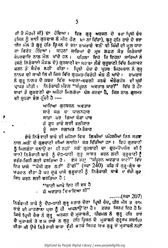ਜੀ ਤੇ ਮੌਹਰੀ ਜੀ) ਦਾ ਹੌਇਆ। ਫ਼ਿਰ ਗੁਰੁ ਅਰਜਨ ਦੇ ਭਰਾ ਪ੍ਰਿਥੀ ਚੌਦ (ਜਿਸ ਨੂੰ ਭਾਈ ਗੁਰਦਾਸ ਨੇ ਮੀਣ ਹੋਣ ਦਾ ਨਾਂ ਦਿੱਤਾ), ਗੁਰੂ ਹਰਿ ਰਾਏ ਦੇ ਭਰਾ ਧੀਰ ਮੱਲ ਤੇ ਗੁਰੂ ਹਰਿ ਕ੍ਰਿਜ਼ਨ ਦੇ ਭਰਾ ਰਾਮਰਾਏ ਵਲੋਂ ਵੀ ਸਿੱਖੀ ਦੀ ਮੂਲ ਧਾਰਾ ਦਾ ਵਿਰੋਧ ਹੋਇਆ। ਇਹਨਾਂ ਸਾਰਿਆਂ ਦੇ ਮੁਖ ਲਛਣ ਸੰਤ ਨਿਰੈਕਾਰੀ ਸੰਪਰਦਾਇ ਨਾਲ ਮੇਲ ਖਾਂਦੇ ਹਨ। ਪਹਿਲਾ ਇਹ ਕਿ ਇਹਨਾਂ ਸਾਰਿਆਂ ਨੇ (ਸਣੇ ਨਿਰੰਕਾਰੀ ਮੌਡਲ ਦੇ) ਗੁਰਬਾਣੀ ਦਾ ਸਹਾਰਾ ਲੌਕੇ ਗੁਰੂਬਾਣੀ ਵਿੱਚ ਮਿਲਾਵਟ ਕਰਨ ਤੌਂ ਸੈਕੋਚ ਨਹੀਂ ਕੀਤਾ । ਪ੍ਰਿਥੀ ਚੋਦ ਦੇ ਪੁਤਰ ਮਿਹਰਬਾਨ ਨੇ ਗੁਰ੍ ਨਾਨਕ ਦੀ ਸਾਖੀ ਲਿਖੀ ਜਿਸ ਵਿੱਚ ਗੁਰੰਮਤ-ਵਿਰੋਧੀ ਐਸ਼ ਲੈ ਆਂਦੇ । ਰਾਮਰਾਏ ਨੇ ਗੁਰੂ ਨਾਨਕ ਦੇ ਸ਼ਬਦ**ਂ ਵਿੱਚ ਅਦਲਾ-ਬਦਲੀ ਕਰਕੇ ਔਰੰਗਜ਼ੇਬ** ਦੀ ਖੁਸ਼ੀ ਪ੍ਰਾਪਤ ਕੀਤੀ। ਨਿਰੰਕਾਰੀ ਮੰਡਲ "ਸੰਪੂਰਨ ਅਵਤਾਰ ਬਾਣੀ" ਵਿੱਚ ਤੇ ਹੋਰ ਥਾਵਾਂ ਤੇ ਗੁਰਬਾਣੀ ਦਾ ਅਜੇਹਾ ਮਿਲਗੋਭਾ ਪੇਸ਼ ਕਰਦਾ ਹੈ, ਜਿਸ ਨਾਲ ਗੁਰਮਤ ਦੀ ਸ਼ੁਧਤਾ ਭੰਗ ਹੁੰਦੀ ਹੈ।—

> ਆਇਆ ਗਰਬਚਨ ਅਵਤਾਰ ਸਾਰੇ ਜਗ ਦਾ ਪਾਲਨਹਾਰ ਸਾਡਾ ਕਰ ਗਿਆ ਬੇੜਾ ਪਾਰ ਜੋ ਤੁਧ ਭਾਵੇ ਸਾਈ ਭਲੀਕਾਰ ਤੂੰ ਸਦਾ ਸਲਾਮਤ ਨਿਰੰਕਾਰ

ਏਥੇ ਨਿਰੈਕਾਰੀ ਬਾਬੇ ਦੀ ਮਹਿਮਾ ਵਿਚ ਲਿਖੀਆਂ ਪਹਿਲੀਆਂ ਤਿਨ ਸਤਰਾ ਨਾਲ ਅਗੋਂ ਦੋ ਗੁਰਬਾਣੀ ਦੀਆਂ ਲਾਈਨਾਂ ਜੋੜ ਦਿੱਤੀਆਂ ਹਨ। ਇਹ ਗੁਰਬਾਣੀ ਨੂੰ ਮਿਲਗੌਭਾ ਬਨਾਉ ਣਾ ਹੀ ਨਹੀਂ ਸਗੋਂ ਗੁਰਬਾਣੀ ਦਾ ਦੂਰ-ੳ੫ਯੋਗ ਵੀ ਹੈ ਯਾਨੀ ਨਿਰੈਕਾਰੀ ਬਾਬੇ ਨੂੰ ਦੇਹ-ਧਾਰੀ ਗੁਰੂ ਸਾਬਤ ਕਰਨ ਲਈ ਗੁਰੂਬਾਣੀ ਨੂੰ ਤਰੱਕ-ਸਿਧੀ ਲਈ ਵਰਤਿਆ ਹੈ ⊦਼ ਏਸ ਤਰਾਂ ''ਸੰਪੂਰਨ ਅਵਤਾਰ ਬਾਣੀ'' ਵਿੱਦ ਇਕ ਪਾਸੇ "ਪੌਥੀ ਗੁਰ ਨਹੀਂ ਹੌਂਦੀ" (ਸਫ਼ਾ 240) ਕਹਿ ਕੇ ਗੁਰੂ-ਗ੍ਰੰਥ ਚਾ ਅਪਮਾਨ ਕੀਤਾ ਹੈ ਪਰ ਦੂਜੇ ਪਾਸੇ ਗੁਰੂਬਾਣੀ ਨੂੰ ਨਿਰੈਕਾਰੀ ਬਾਬੇ ਦੇ ਰੱਬੀ ਗੁਣ ਸਿਧ ਕਰਨ ਲਈ ਵਰਤਿਆ ਹੈ **:** 

> "ਬਾਣੀ ਆਖੇ ਇਹ ਹੀ ਰਬ ਹੈ · ਜੋ ਅਵਤਾਰ ਵਿਖਾਇਆ ਸੀ''

 $\ldots$ . $(R\vec{s}$  207)

ਨਿਰੰਕਾਰੀ ਬਾਬੇ ਨੂੰ ਦੇਹ-ਧਾਰੀ ਗੁਰੂ ਕਰਾਰ ਦੇਣਾ ਪ੍ਰਿਥੀ ਚੰਦ, ਧੀਰ ਮੱਲ ਤ ਰਾਮ ਰਾਏ ਦੀ ਕਾਫ਼ਰਾਨਾ ਪ੍ਰਥਾ ਨੂੰ ਹੀ ਅਪਨਾਉਂਣਾ ਹੈ। ਫ਼ਰਕ ਸਿਰਫ਼ ਇਹ ਹੈ ਰਿ ਜਿਥੇ ਪ੍ਰਿਥੀ ਚੈਦ ਨੇ ਗੁਰੂ ਅਰਜਨ ਦੇ ਮੁਕਾਬਲੇ, ਧੀਰਮਲ ਨੇ ਗੁਰੂ ਹਰਿ ਰਾਏ ਦੇ ਮੁਕਾਬਲੇ ਤੇ ਰ ਮ ਰਾਏ ਨ ਗੁਰੂ ਹਰਿ ਕ੍ਰਿਸ਼ਨ ਦੇ ਮੁਕਾਬਲੇ ਗੁਰੂਡਮ ਸਥਾਪਿਤ ਕੀਤਾ ਸੀ ਉਥੇ ਨਿਰੈਕਾਰੀ ਬਾਬਾ ਤੱਕੀ ਕਰਕੇ ਸਿਰਫ਼ ਇਕ ਗੁਰੂ ਦੇ ਮੁਕਾਬਲੇ ਨਹੀਂ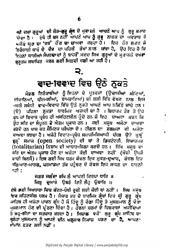ਜਗੋਂ ਦਸਾਂ ਗੁਰੂਆਂ ਦੀ ਜੋਤ-ਗੁਰੂ ਗ੍ਰੈਥ ਦੇ ਮੁਕਾaਲੇ ਆਪਣੇ ਆਪ ਨੂੰ ਗੁਰੂ ਕਰਾਰ ਦੀ ਦਾ ਹੈ। ਇਥੇ ਹੀ ਬਸ ਨਹੀਂ ਆਪਣੇ ਆਪ ਨੂੰ ਗੁਰੂ ਨਾਨਕ ਦਾ ਅਵਤਾਰ ਤੇ ਅਜੋਕੇ ਯਗ ਦਾ 'ਰਬ' ਹੋਣ ਦਾ ਦਾਅਵਾਂ ਕਰਦਾ ਹੈ। ਇਕ ਹੋਰ ਲ*ਛ*ਣ ਜੋ ਨਿਰੰਕਾਰੀ ਬਾਬੇ ਦੇ ਦੈਭ ਦਾ ਪਹਿਲੇ ਭੇਖਾਂ ਨਾਲ ਸਾਂਝਾ ਹੈ, ਉਹ ਇਹ ਹੈ ਕਿ ਇਹਨਾਂ ਸਾਰੀਆਂ ਸੈਪਰਦਾਵਾਂ ਨੂੰ ਬਾਹਰੋੰ ਮਦਦ ਸਿਖ ਗੁਰੂਆਂ ਦੇ ਮੁਤਾਬਲੇ ਵਖ**ਰਾ** ਗੁਰੂਡਮ ਸਥਾਪਿਤ ਕਰਨ ਲਈ ਮਿਲਦੀ ਚਲੀ ਆ ਰਹੀ ਹੈ।

## 2. ਵਾਦ-1ਵਵਾਦ ਵਿਚ ਉਠੇ ਨੁਕਤੇ

ਮੈਡਲ ਨਿਰੈਕਾਰੀਆਂ ਨੂੰ ਇਹਨਾਂ ਦੇ ਪੂਰਵਜ਼ਾਂ (ਉਦਾਸੀਆਂ ਮੀਣਿਆਂ, ਦੀਵਾਨਿਆਂ, ਧੀਰਮਲੀਆਂ, ਰਾਮਰਾਇਆਂ) ਦੀ ਲੜੀ ਵਿੱਚ ਵੇਖਣ ਨਾਲ ਇਸ ਮਸਲੇ ਸਬੰਧੀ ਵਾਦ-ਵਿਵਾਦ ਵਿੱਚ ਉਠੇ ਨੁਕਤੇ ਆਪਣੇ ਆਪ ਨਜਿੱਠੇ ਜਾਂਦੇ ਹਨ । ਪਹਿਲਾਂ ਨੁਕਤਾ ਧਾਰਮਿਕ ਅਜ਼ਾਦੀ**ਦਾ** ਹੈ । ਸ਼ਿਧਾਂਤਕ ਤੌਰ ਤੇ ਉਹ  $(\Theta)$ ਰੁਥ ਜਾਂ ਵਿਚਾਰ ਪ੍ਰਬੰਧ ਹੀ ਅਸਹਿਣਸ਼ੀਲ ਹੁੰਦੇ ਹਨ ਜੋ ਇਹ ਦਾਅਵਾਂ ਕਰਨ ਕਿ ਉਹ ਸਤਿ ਦਾ ਸੈਪੁਰਨ ਡੇ ਐਤਮ ਪ੍ਰਕਾਸ਼ ਹਨ । ਕਈ ਮਜ਼੍ਬ ਅਜੇਹਾ ਦਾਅਵਾ ਕਰਦੇ ਹਨ ਖਾਸ ਕਰ ਸੈਮਿਟਕ ਪਰੈਪੌਰਾ ਦੇ । ਹੀਗਲ ਦਾ ਫ਼ਲਖ਼ਫ਼ਾਂ ਵੀ ਅਜੇਹਾ ਦਾਅਵਾ ਕਰਦਾ ਹੈ । ਅਜੇਹੇ ਵਿਚਾਰ-ਪ੍ਰਬੰਧ ਸਮਾਜੀ-ਸਿਆਸੀ ਪੱਧਰ ਉਤੇ ਖੁਲ੍ਹੇ ਝੂਲ੍ਹੇ ਸਮਾਜ (open society) ਦੀ ਥਾਂ ਤੇ ਡਿਕਟੇਟਰੀ. ਇਕਾਤਮਕ (totalitarian) ਨਿਜ਼ਾਮ ਦੀ ਆਧਾਰ-ਸ਼ਿਲਾ ਬਣਦੇ ਹਨ। ਸਿੱਖ ਮਜ਼ਬ ਦਾ ਸਤਿ ਦਾ ਐਤਮ ਪ੍ਰਕਾਸ਼ ਹੋਣ ਦਾ ਅਜੇਹਾ<sub>ਂ</sub> ਕੋਈ ਦਾਅਵਾਂ ਨਹੀਂ' (ਖੋਜੀ<sup>ੋ</sup> ਉਪਜੈ ਬਾਦੀ ਬਿਨਸੈ)। ਇਸ ਲਈ ਸਿਖ ਧਰਮ ਕੇਵਲ ਇਕ ਮੁਕਤ-ਦੁਆਰ, ਕੇਵਲ ਇਕ ਕਲਿਆਣ-ਮਾਰ**ਗ, ਪ**ਰਮਾਤਮਾ ਤੱਕ ਪਹੁੰਚਣ ਦੇ ਕੇਵਲ ਇਕ ਸਾਧਨ ਦਾ ਧਾਰਨੀ ਨਹੀ**:** 

> ਜਗਤ ਜਲੰਦਾ ਰਖਿ ਲੈ ਆਪਣੀ ਕਿਰਪਾ ਧਾਰਿ ॥ ਜਿਬੂ ਦੁਆਰੇ ਉਬਰੇ ਤਿਤੋਂ ਲੈਂਹੂ ਉਬਾਰਿ ॥

ਦੇਸੇ ਲਈ ਸਿਖਧਾਰਾ ਵਿਚ ਕੱਟੜ-ਪੰਥੀ ਰੂਚੀ ਲਈ ਕੋਈ ਥਾਂ ਨਹੀਂ । ਸਿਖ ਮਜੂਬ ਇਕ ਸਹਿਣਸ਼ੀਲ ਧਰਮ ਹੈ । ਸੈਸਾਰ ਭਰ ਦੇ ਧਾਰਮਿਕ ਗ੍ਰੰਥਾਂ ਵਿਚ ਸ੍ਰੀ ਗੁਰੂ ਗ੍ਰੰਥ ਜਾਹਿਬ ਹੀ ਅਜੇਹਾ ਪਾਵਨ ਗ੍ਰੰਥ ਹੈ ਜੋ ਹਿੰਦੂ ਨੂੰ ਚੋਗਾ ਹਿੰਦੂ ਤੇ ਮੁਸਲਮਾਨ ਨੂੰ ਚੋਗਾ ਮੁਸਲਮਾਨ ਹੋਣ ਦੀ ਪ੍ਰੋਰਣਾ ਦਿੰਦਾ ਹੈ । ਹੋਰਨਾਂ ਧਰਮਾਂ ਦੇ ਵਿਸ਼ਵਾਸ਼ਾਂ ਅਕੀਦਿਆਂ ਤੇ ਰਹੁ-ਰੀਤਾਂ ਦਾ ਸਤਕਾਰ ਕਰਦਾ ਹੈ । । ਮਿਸ਼ਾਲ ਵਜੋਂ ਗੁਰੁ ਗ੍ਰੰਥ ਸਾਹਿਬ ਦਾ ਸੁਨੇਹਾਂ ਮੁਸ਼ਲਮਾਨ ਨੂੰ ਆਪਣੇ ਦੀਨ ਅ**ਨੁਸਾਰ ਨਿਮਾਜ਼**ਾਂੜਣ<sup>ੋਂ</sup> ਦਾ**ੰਹੈ,** ਆਪਣਾ ਈਮਾਂਨ ਛਡਣ ਲਈ ਨਹੀਂ ।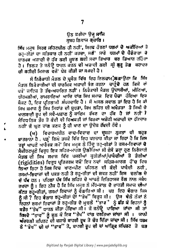#### ਉਠ ਫ਼ਰੀਦਾ ਉਜੂ ਸ਼ਾਜਿ ਸਬਹ ਨਿਵਾਜ ਗਜ਼ਾ**ਰਿ** ।

ਬਿੱਖ ਮਜੂਬ ਸਿਰਫ ਸਹਿਣਸ਼ੀਲ ਹੀ ਨਹੀਂ , ਸਿਰਫ ਹੋਰਣਾਂ ਧਰਮਾਂ ਦੇ ਅਕੀਦਿਆਂ ਤੇ ਰਹ-ਰੀਤਾਂ ਦਾ ਸਤਿਕਾਰ ਹੀ ਨਹੀਂ ਕਰਦਾ, ਸਗੋਂ` ਸਾਰੇ ਧਰਮਾਂ ਦੇ ਪੈਰੋਕਾਰਾਂ ਚੋ ਧਾਰਮਕ ਅਜ਼ਾਦੀ ਦੇ ਹੱਕ ਲਈ ਜੁਝਣ ਲਈ ਸਦਾ ਤਿਆਰ ਬਰ ਤਿਆਰ ਰਹਿੰਦਾ ਹੈ। ਤਿਲਕ ਤੇ ਜਨੇਉ ਧਾਰਨ ਕਰਨ ਦੀ ਅਜ਼ਾਦੀ ਲਈ ਸ੍ਰੀ ਗੁਰੂ ਤੇਗ ਬਹਾਦਰ ਦੀ ਸ਼ਹੀਦੀ ਮਿਸਾਲ ਵੌਜੋਂ ਪੇਸ਼ ਕੀਤੀ ਜਾ ਸਕਦੀ ਹੈ।

ਸੋਂ ਨਿਰੈਕਾਰੀ ਮੈਡਲ ਦੇ ਪੁਸੰਗ ਵਿੱਚ ਇਹ ਇਲਜ਼ਾਮ;ੌਲਗਾਉਣਾ ਕਿ ਸਿੱਖ ਮੰਡਲ ਨਿਰੈਕਾਰੀਆਂ ਦੀ ਧਾਰਮਿਕ ਅਜ਼ਾਦੀ ਭੈਗ ਕਰਨਾ ਚਾਹੁੰ**ਦੇ ਹਨ ਕਿ**ਸੇ *ਵਾਂ* ਪਖੋਂ' ਜਾਇਜ਼ ਤੇ ਤੱਥ-ਅਧਾਰਿਤ ਨਹੀਂ । ਨਿਰੰਕਾਰੀ ਮੈਡਲ ਉਦਾਸੀਆਂ, ਮੀਣਿਆਂ, ਧੀਰਮਲੀਆਂ, ਰਾਮਰਾਇਆਂ ਆਦਿ ਵਾਂਗ ਸਿਖ ਸਮਾਜ ਵਿਚ ਪੈਦਾ ਹੋਇਆ ਇਕ ਸੈਕਟ ਹੈ, ਇਕ ਪ੍ਰਤਿਗਾਮੀ ਸੰਪਰਦਾਇ ਹੈ। ਸੌ ਅਸਲ ਸਵਾਲ ਤਾਂ ਇਹ ਹੈ ਕਿ ਕੀ ਸਿਖ ਸਮਾਜ ਨੂੰ ਸਿਖ ਸਿਧਾਂਤ ਦੀ ਸ਼ੁਧਤਾ, ਸਿਖ ਲਹਿਰ ਦੀ ਅਖੰਡਤਾ ਤੇ ਸਿਖੀ ਦੇ ਖਾਲਸਾਈ ਰੂਪ ਦੀ ਸਵੈ-ਪਛਾਣ ਨੂੰ ਕਾਇਮ ਰੱਖਣ ਦਾ ਹੱਕ ਹੈ ਜਾਂ ਨਹੀਂ ? ਸੈਵਿਧਾਨਿਕ ਤੌਰ ਤੇ ਕੋਈ ਵੀ ਵਿਅਕਤੀ ਜਾਂ ਫਿਰਕਾ ਅਜੇਹੀ ਅਜ਼ਾਦੀ ਦਾ ਹੱਕਦਾਰ ਨਹੀਂ ਜੋ ਘੁਣ ਵਾਂਗ ਕਣਕ ਨੂੰ ਹੀ ਖਾਣ ਦਾ ਉਦੇਸ਼ ਰੱਖਦੀ ਹੋਵੇ।

(ਅ) ਵਿਚਾਰਅਧੀਨ ਵਾਦ-ਵਿਵਾਦ ਦਾ ਦੂਸਰਾ ਨੁਕਤਾ ਵੀ ਬਹੁਤ ਸ਼ਾਤਰਾਨਾ ਹੈ , ਪੜ੍ਹੇ ਲਿਖੇ ਤਬਕੇ ਵਿੱਚ ਇਹ ਪਰਚਾਰ ਕੀਤਾ ਜਾ ਰਿਹਾ ਹੈ ਕਿ ਜਿਸ ਤਰ੍ਹਾਂ ਆਪਣੇ ਆਰੈਕੁਕ ਸਮੇਂ ਸਿਖ ਮਜ਼ੂਬ ਨੇ ਹਿੰਦੂ ਰਹੁ-ਰੀਤਾਂ ਤੇ ਰਸਮ-ਰਿਵਾਜਾਂ ਦੇ 'ਸੈਕੀਰਣਪੁਣੇ ਵਿਰੁਧ ਇਕ ਸਹਿਜ-ਮਾਰੰਗ ਉਲੀਕਿਆ ਸੀ ਏਸੇ ਡਰ੍ਹਾ ਹੁਣ ਨਿਰੈਕਾਰੀ ਮੈਡਲ ਵੀ ਸਿਖ ਸਮਾਜ ਵਿੱਚ ਪਸਰੀਆਂ ਕੁਰੀਤੀਆਂ/ਪਾਬੈਦੀਆਂ ਤੇ ਤੈਗੀਆਂ (rigidities) ਵਿਰੁਧ ਪ੍ਰਤਿਕਰਮ ਵਜੋਂ ਇਕ ਨਵਾਂ ਸਹਿਜ-ਮਾਰਗ ਹੋਂਦ ਵਿਚ ਲਿਆ ਰਿਹਾ ਹੈ ਜਿਸ ਵਿਚ ਖਾਣ-ਪੀਣ ਪਹਿਨਣ ਦੀ ਕੋਈ ਪਾਬੰਦੀ ਨਹੀਂ, ਰਸਮਾਂ-ਚਿਵਾਜਾਂ ਦੀ ਪਕੜ ਨਹੀ ਤੇ ਰਹੁ-ਰੀਤਾਂ ਦੀ ਜਕੜ ਨਹੀਂ ਇਸ ਦਲੀਲ ਦੇ ਦੋਂ ਪੱਖ ਹਨ। ਪਹਿਲਾ ਪੱਖ ਸਿੱਖ ਲਹਿਰ ਦੇ ਆਪਣੇ ਇਤਿਹਾਸਕ ਰੋਲ ਨਾਲ ਸਬੰਧ ਰਖਦਾ ਨੂੰ। ਇਹ ਠੀਕ ਹੈ ਕਿ ਸਿੱਖ ਮਜ਼ੁਬ ਨੇ ਮੱਧ-ਕਾਲ ਦੇ ਭਾਰਤੀ ਸਮਾਜ ਦੀਆਂ ਕੱਟੜ ਰਹੁ-ਰੀਤਾਂ, ਰਸਮਾਂ ਰਿਵਾਜਾਂ ਨੂੰ ਵੰਗਾਰਿਆ ਸੀ। ਪਰ ਇਹ ਵੈਗਾਰ ਕਿਸ ਨੂੰ ਸੀ ? ਇਹ ਵੈਗਾਰ ਰਹੁ-ਰੀਤਾਂ ਦੇਾਂ ''ਭੇਖ'' ਵਿਰੁਧ ਸੀ। ਉਸ ਵੇਲੇ ਲੋਕਾਂ ਨੇ ਇਹਨਾਂ ਰਸਮਾਂ ਰਿਵਾਜਾਂ ਤੇ ਰਹੁ-ਰੀਤ ਦੇ ਮੁਢਲੇ "ਭਾਵ" ਨੂੰ ਛੱਡ ਕੇ ਇਹਨਾਂ ਨੂੰ ਬਤੌਰ "ਭੇਖ" ਧਾਰਨ ਕੀਤਾ ਹੋਇਆ ਸੀ। ਜੇ ਜਨੇਉ ਪਾਇਆ ਜਾਂਦਾ ਸੀ ਤਾਂ ਇਸਦੇ ''ਭਾਵ'' ਨੂੰ ਭੁਲ ਕੇ ਇਕ ''ਭੇਖ'' ਵਾਂਗ ਵਰਤਿਆ ਜਾਂਦਾ ਸੀ । ਯਾਨੀ ਅੰਦਰਲੀ ਸਪਿਰਟ ਦੀ ਬਜਾਬੇ ਬਾਹਰੀ ਰੁਖ ਤੇ ਜ਼ੌਰ ਦਿੱਤਾ ਜਾਂਦਾ ਸੀ। ਸਿੱਖ ਧਰਮ ਨੇ "ਭੇਖ" ਦੀ ਥਾਂ "ਭਾਵ" ਤੇ, ਬਾਹਰੀ ਰੂਪ ਦੀ ਥਾਂ ਆਂਤਿਕ ਸਪਿਰਟ ਤੇ ਬਲ